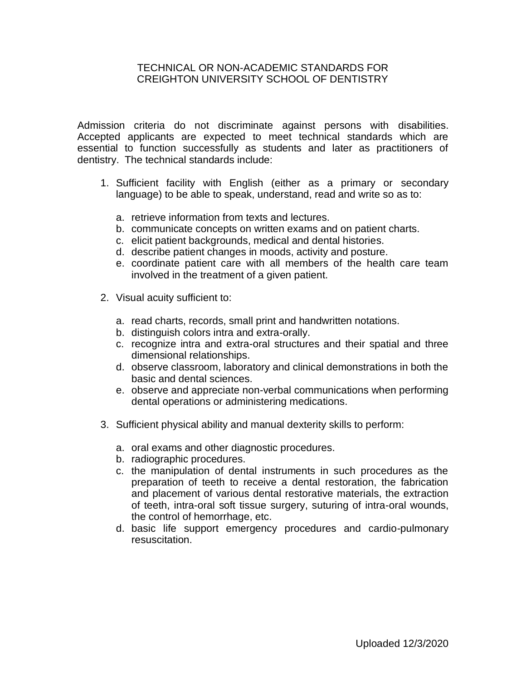## TECHNICAL OR NON-ACADEMIC STANDARDS FOR CREIGHTON UNIVERSITY SCHOOL OF DENTISTRY

Admission criteria do not discriminate against persons with disabilities. Accepted applicants are expected to meet technical standards which are essential to function successfully as students and later as practitioners of dentistry. The technical standards include:

- 1. Sufficient facility with English (either as a primary or secondary language) to be able to speak, understand, read and write so as to:
	- a. retrieve information from texts and lectures.
	- b. communicate concepts on written exams and on patient charts.
	- c. elicit patient backgrounds, medical and dental histories.
	- d. describe patient changes in moods, activity and posture.
	- e. coordinate patient care with all members of the health care team involved in the treatment of a given patient.
- 2. Visual acuity sufficient to:
	- a. read charts, records, small print and handwritten notations.
	- b. distinguish colors intra and extra-orally.
	- c. recognize intra and extra-oral structures and their spatial and three dimensional relationships.
	- d. observe classroom, laboratory and clinical demonstrations in both the basic and dental sciences.
	- e. observe and appreciate non-verbal communications when performing dental operations or administering medications.
- 3. Sufficient physical ability and manual dexterity skills to perform:
	- a. oral exams and other diagnostic procedures.
	- b. radiographic procedures.
	- c. the manipulation of dental instruments in such procedures as the preparation of teeth to receive a dental restoration, the fabrication and placement of various dental restorative materials, the extraction of teeth, intra-oral soft tissue surgery, suturing of intra-oral wounds, the control of hemorrhage, etc.
	- d. basic life support emergency procedures and cardio-pulmonary resuscitation.